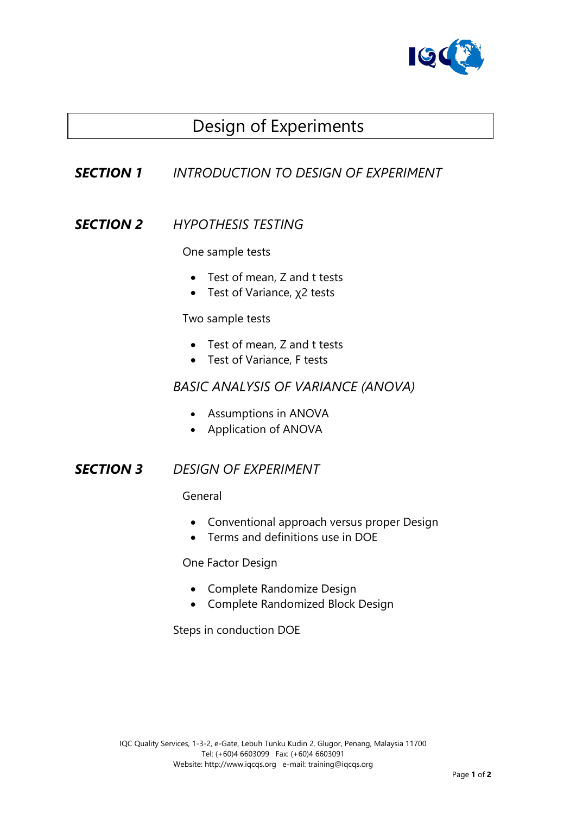

# Design of Experiments

# *SECTION 1 INTRODUCTION TO DESIGN OF EXPERIMENT*

### *SECTION 2 HYPOTHESIS TESTING*

One sample tests

- Test of mean, Z and t tests
- Test of Variance, χ2 tests

Two sample tests

- Test of mean, Z and t tests
- Test of Variance, F tests

#### *BASIC ANALYSIS OF VARIANCE (ANOVA)*

- Assumptions in ANOVA
- Application of ANOVA

#### *SECTION 3 DESIGN OF EXPERIMENT*

General

- Conventional approach versus proper Design
- Terms and definitions use in DOE

One Factor Design

- Complete Randomize Design
- Complete Randomized Block Design

Steps in conduction DOE